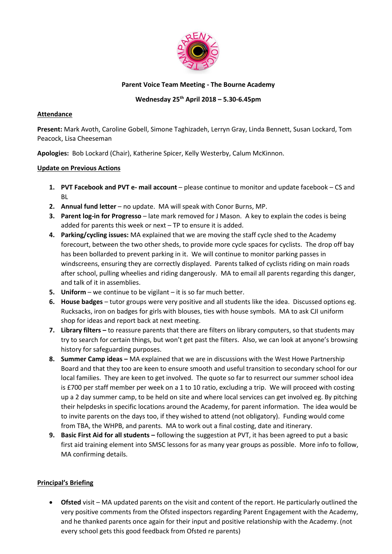

### **Parent Voice Team Meeting - The Bourne Academy**

## **Wednesday 25th April 2018 – 5.30-6.45pm**

### **Attendance**

**Present:** Mark Avoth, Caroline Gobell, Simone Taghizadeh, Lerryn Gray, Linda Bennett, Susan Lockard, Tom Peacock, Lisa Cheeseman

**Apologies:** Bob Lockard (Chair), Katherine Spicer, Kelly Westerby, Calum McKinnon.

### **Update on Previous Actions**

- **1. PVT Facebook and PVT e- mail account** please continue to monitor and update facebook CS and BL
- **2. Annual fund letter** no update. MA will speak with Conor Burns, MP.
- **3. Parent log-in for Progresso** late mark removed for J Mason. A key to explain the codes is being added for parents this week or next – TP to ensure it is added.
- **4. Parking/cycling issues:** MA explained that we are moving the staff cycle shed to the Academy forecourt, between the two other sheds, to provide more cycle spaces for cyclists. The drop off bay has been bollarded to prevent parking in it. We will continue to monitor parking passes in windscreens, ensuring they are correctly displayed. Parents talked of cyclists riding on main roads after school, pulling wheelies and riding dangerously. MA to email all parents regarding this danger, and talk of it in assemblies.
- **5. Uniform** we continue to be vigilant it is so far much better.
- **6. House badges** tutor groups were very positive and all students like the idea. Discussed options eg. Rucksacks, iron on badges for girls with blouses, ties with house symbols. MA to ask CJI uniform shop for ideas and report back at next meeting.
- **7. Library filters –** to reassure parents that there are filters on library computers, so that students may try to search for certain things, but won't get past the filters. Also, we can look at anyone's browsing history for safeguarding purposes.
- 8. **Summer Camp ideas –** MA explained that we are in discussions with the West Howe Partnership Board and that they too are keen to ensure smooth and useful transition to secondary school for our local families. They are keen to get involved. The quote so far to resurrect our summer school idea is £700 per staff member per week on a 1 to 10 ratio, excluding a trip. We will proceed with costing up a 2 day summer camp, to be held on site and where local services can get involved eg. By pitching their helpdesks in specific locations around the Academy, for parent information. The idea would be to invite parents on the days too, if they wished to attend (not obligatory). Funding would come from TBA, the WHPB, and parents. MA to work out a final costing, date and itinerary.
- **9. Basic First Aid for all students –** following the suggestion at PVT, it has been agreed to put a basic first aid training element into SMSC lessons for as many year groups as possible. More info to follow, MA confirming details.

# **Principal's Briefing**

 **Ofsted** visit – MA updated parents on the visit and content of the report. He particularly outlined the very positive comments from the Ofsted inspectors regarding Parent Engagement with the Academy, and he thanked parents once again for their input and positive relationship with the Academy. (not every school gets this good feedback from Ofsted re parents)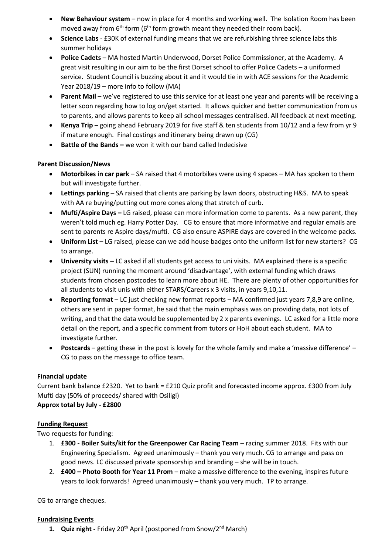- **New Behaviour system** now in place for 4 months and working well. The Isolation Room has been moved away from 6<sup>th</sup> form (6<sup>th</sup> form growth meant they needed their room back).
- **Science Labs**  £30K of external funding means that we are refurbishing three science labs this summer holidays
- **Police Cadets**  MA hosted Martin Underwood, Dorset Police Commissioner, at the Academy. A great visit resulting in our aim to be the first Dorset school to offer Police Cadets – a uniformed service. Student Council is buzzing about it and it would tie in with ACE sessions for the Academic Year 2018/19 – more info to follow (MA)
- **Parent Mail** we've registered to use this service for at least one year and parents will be receiving a letter soon regarding how to log on/get started. It allows quicker and better communication from us to parents, and allows parents to keep all school messages centralised. All feedback at next meeting.
- **Kenya Trip** going ahead February 2019 for five staff & ten students from 10/12 and a few from yr 9 if mature enough. Final costings and itinerary being drawn up (CG)
- **Battle of the Bands –** we won it with our band called Indecisive

## **Parent Discussion/News**

- **Motorbikes in car park**  SA raised that 4 motorbikes were using 4 spaces MA has spoken to them but will investigate further.
- **Lettings parking**  SA raised that clients are parking by lawn doors, obstructing H&S. MA to speak with AA re buying/putting out more cones along that stretch of curb.
- **Mufti/Aspire Days –** LG raised, please can more information come to parents. As a new parent, they weren't told much eg. Harry Potter Day. CG to ensure that more informative and regular emails are sent to parents re Aspire days/mufti. CG also ensure ASPIRE days are covered in the welcome packs.
- **Uniform List –** LG raised, please can we add house badges onto the uniform list for new starters? CG to arrange.
- **University visits –** LC asked if all students get access to uni visits. MA explained there is a specific project (SUN) running the moment around 'disadvantage', with external funding which draws students from chosen postcodes to learn more about HE. There are plenty of other opportunities for all students to visit unis with either STARS/Careers x 3 visits, in years 9,10,11.
- **Reporting format**  LC just checking new format reports MA confirmed just years 7,8,9 are online, others are sent in paper format, he said that the main emphasis was on providing data, not lots of writing, and that the data would be supplemented by 2 x parents evenings. LC asked for a little more detail on the report, and a specific comment from tutors or HoH about each student. MA to investigate further.
- **Postcards** getting these in the post is lovely for the whole family and make a 'massive difference' CG to pass on the message to office team.

### **Financial update**

Current bank balance £2320. Yet to bank = £210 Quiz profit and forecasted income approx. £300 from July Mufti day (50% of proceeds/ shared with Osiligi)

**Approx total by July - £2800**

### **Funding Request**

Two requests for funding:

- 1. **£300 - Boiler Suits/kit for the Greenpower Car Racing Team** racing summer 2018. Fits with our Engineering Specialism. Agreed unanimously – thank you very much. CG to arrange and pass on good news. LC discussed private sponsorship and branding – she will be in touch.
- 2. **£400 – Photo Booth for Year 11 Prom** make a massive difference to the evening, inspires future years to look forwards! Agreed unanimously – thank you very much. TP to arrange.

CG to arrange cheques.

### **Fundraising Events**

**1.** Quiz night - Friday 20<sup>th</sup> April (postponed from Snow/2<sup>nd</sup> March)